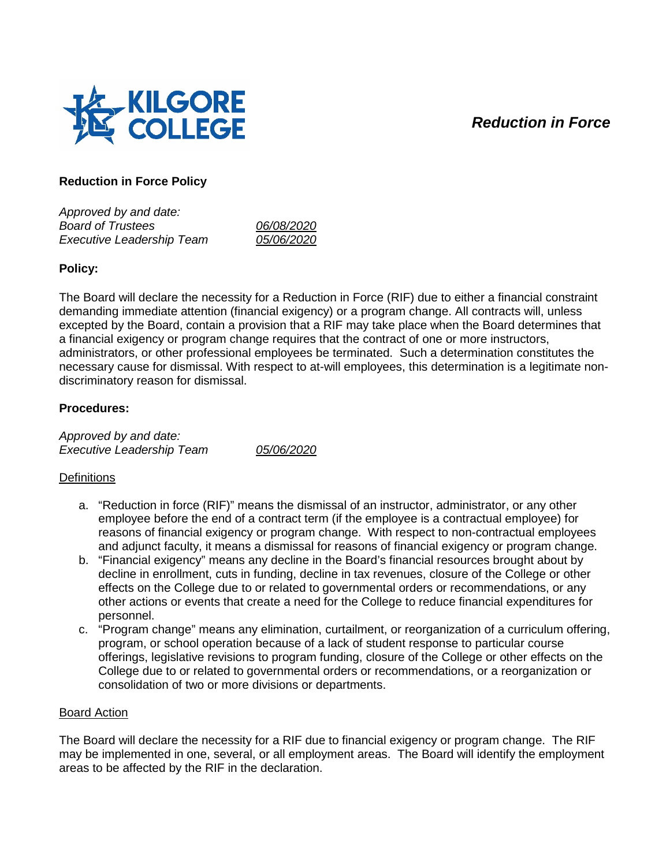# *Reduction in Force*



## **Reduction in Force Policy**

*Approved by and date: Board of Trustees 06/08/2020 Executive Leadership Team 05/06/2020*

## **Policy:**

The Board will declare the necessity for a Reduction in Force (RIF) due to either a financial constraint demanding immediate attention (financial exigency) or a program change. All contracts will, unless excepted by the Board, contain a provision that a RIF may take place when the Board determines that a financial exigency or program change requires that the contract of one or more instructors, administrators, or other professional employees be terminated. Such a determination constitutes the necessary cause for dismissal. With respect to at-will employees, this determination is a legitimate nondiscriminatory reason for dismissal.

## **Procedures:**

*Approved by and date: Executive Leadership Team 05/06/2020*

### **Definitions**

- a. "Reduction in force (RIF)" means the dismissal of an instructor, administrator, or any other employee before the end of a contract term (if the employee is a contractual employee) for reasons of financial exigency or program change. With respect to non-contractual employees and adjunct faculty, it means a dismissal for reasons of financial exigency or program change.
- b. "Financial exigency" means any decline in the Board's financial resources brought about by decline in enrollment, cuts in funding, decline in tax revenues, closure of the College or other effects on the College due to or related to governmental orders or recommendations, or any other actions or events that create a need for the College to reduce financial expenditures for personnel.
- c. "Program change" means any elimination, curtailment, or reorganization of a curriculum offering, program, or school operation because of a lack of student response to particular course offerings, legislative revisions to program funding, closure of the College or other effects on the College due to or related to governmental orders or recommendations, or a reorganization or consolidation of two or more divisions or departments.

#### Board Action

The Board will declare the necessity for a RIF due to financial exigency or program change. The RIF may be implemented in one, several, or all employment areas. The Board will identify the employment areas to be affected by the RIF in the declaration.